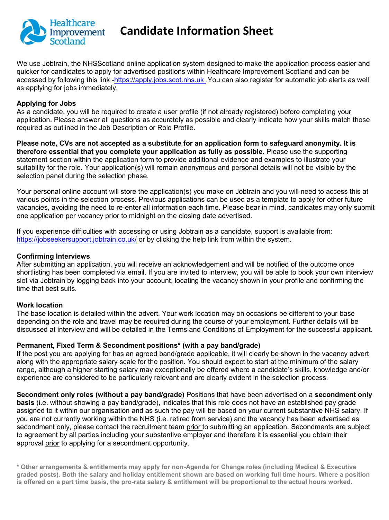

# **Candidate Information Sheet**

We use Jobtrain, the NHSScotland online application system designed to make the application process easier and quicker for candidates to apply for advertised positions within Healthcare Improvement Scotland and can be accessed by following this link [-https://apply.jobs.scot.nhs.uk](http://#) .You can also register for automatic job alerts as well as applying for jobs immediately.

### **Applying for Jobs**

As a candidate, you will be required to create a user profile (if not already registered) before completing your application. Please answer all questions as accurately as possible and clearly indicate how your skills match those required as outlined in the Job Description or Role Profile.

**Please note, CVs are not accepted as a substitute for an application form to safeguard anonymity. It is therefore essential that you complete your application as fully as possible.** Please use the supporting statement section within the application form to provide additional evidence and examples to illustrate your suitability for the role. Your application(s) will remain anonymous and personal details will not be visible by the selection panel during the selection phase.

Your personal online account will store the application(s) you make on Jobtrain and you will need to access this at various points in the selection process. Previous applications can be used as a template to apply for other future vacancies, avoiding the need to re-enter all information each time. Please bear in mind, candidates may only submit one application per vacancy prior to midnight on the closing date advertised.

If you experience difficulties with accessing or using Jobtrain as a candidate, support is available from: [https://jobseekersupport.jobtrain.co.uk/](http://#) or by clicking the help link from within the system.

### **Confirming Interviews**

After submitting an application, you will receive an acknowledgement and will be notified of the outcome once shortlisting has been completed via email. If you are invited to interview, you will be able to book your own interview slot via Jobtrain by logging back into your account, locating the vacancy shown in your profile and confirming the time that best suits.

#### **Work location**

The base location is detailed within the advert. Your work location may on occasions be different to your base depending on the role and travel may be required during the course of your employment. Further details will be discussed at interview and will be detailed in the Terms and Conditions of Employment for the successful applicant.

#### **Permanent, Fixed Term & Secondment positions\* (with a pay band/grade)**

If the post you are applying for has an agreed band/grade applicable, it will clearly be shown in the vacancy advert along with the appropriate salary scale for the position. You should expect to start at the minimum of the salary range, although a higher starting salary may exceptionally be offered where a candidate's skills, knowledge and/or experience are considered to be particularly relevant and are clearly evident in the selection process.

**Secondment only roles (without a pay band/grade)** Positions that have been advertised on a **secondment only basis** (i.e. without showing a pay band/grade), indicates that this role does not have an established pay grade assigned to it within our organisation and as such the pay will be based on your current substantive NHS salary. If you are not currently working within the NHS (i.e. retired from service) and the vacancy has been advertised as secondment only, please contact the recruitment team prior to submitting an application. Secondments are subject to agreement by all parties including your substantive employer and therefore it is essential you obtain their approval prior to applying for a secondment opportunity.

**\* Other arrangements & entitlements may apply for non-Agenda for Change roles (including Medical & Executive graded posts). Both the salary and holiday entitlement shown are based on working full time hours. Where a position is offered on a part time basis, the pro-rata salary & entitlement will be proportional to the actual hours worked.**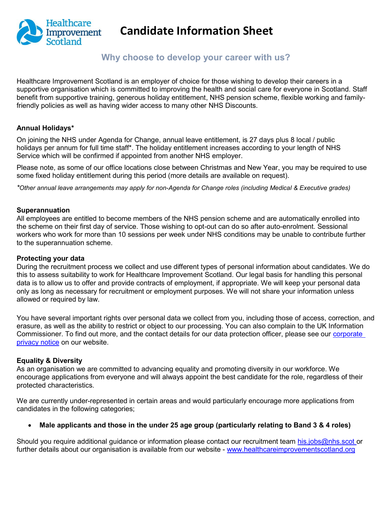

# **Candidate Information Sheet**

## **Why choose to develop your career with us?**

Healthcare Improvement Scotland is an employer of choice for those wishing to develop their careers in a supportive organisation which is committed to improving the health and social care for everyone in Scotland. Staff benefit from supportive training, generous holiday entitlement, NHS pension scheme, flexible working and familyfriendly policies as well as having wider access to many other NHS Discounts.

### **Annual Holidays\***

On joining the NHS under Agenda for Change, annual leave entitlement, is 27 days plus 8 local / public holidays per annum for full time staff\*. The holiday entitlement increases according to your length of NHS Service which will be confirmed if appointed from another NHS employer.

Please note, as some of our office locations close between Christmas and New Year, you may be required to use some fixed holiday entitlement during this period (more details are available on request).

*\*Other annual leave arrangements may apply for non-Agenda for Change roles (including Medical & Executive grades)*

#### **Superannuation**

All employees are entitled to become members of the NHS pension scheme and are automatically enrolled into the scheme on their first day of service. Those wishing to opt-out can do so after auto-enrolment. Sessional workers who work for more than 10 sessions per week under NHS conditions may be unable to contribute further to the superannuation scheme.

#### **Protecting your data**

During the recruitment process we collect and use different types of personal information about candidates. We do this to assess suitability to work for Healthcare Improvement Scotland. Our legal basis for handling this personal data is to allow us to offer and provide contracts of employment, if appropriate. We will keep your personal data only as long as necessary for recruitment or employment purposes. We will not share your information unless allowed or required by law.

You have several important rights over personal data we collect from you, including those of access, correction, and erasure, as well as the ability to restrict or object to our processing. You can also complain to the UK Information Commissioner. To find out more, and the contact details for our data protection officer, please see our [corporate](http://#)  [privacy notice](http://#) on our website.

#### **Equality & Diversity**

As an organisation we are committed to advancing equality and promoting diversity in our workforce. We encourage applications from everyone and will always appoint the best candidate for the role, regardless of their protected characteristics.

We are currently under-represented in certain areas and would particularly encourage more applications from candidates in the following categories;

#### **Male applicants and those in the under 25 age group (particularly relating to Band 3 & 4 roles)**

Should you require additional quidance or information please contact our recruitment team [his.jobs@nhs.scot](http://#) or further details about our organisation is available from our website - [www.healthcareimprovementscotland.org](http://#)